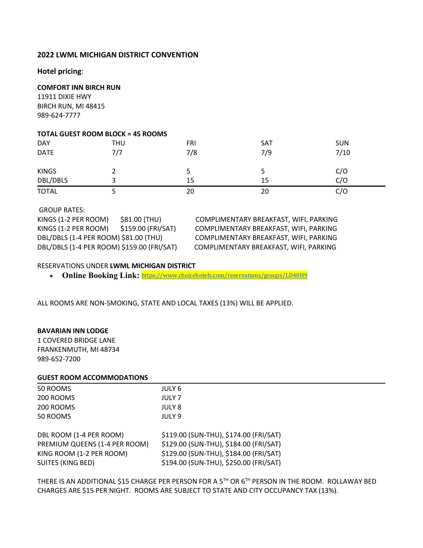## **2022 LWML MICHIGAN DISTRICT CONVENTION**

**Hotel pricing**:

989-624-7777

**COMFORT INN BIRCH RUN** 11911 DIXIE HWY BIRCH RUN, MI 48415

#### **TOTAL GUEST ROOM BLOCK = 45 ROOMS**

| <b>DAY</b><br><b>DATE</b> | <b>THU</b><br>7/7 | FRI<br>7/8 | SAT<br>7/9 | <b>SUN</b><br>7/10 |
|---------------------------|-------------------|------------|------------|--------------------|
| <b>KINGS</b>              |                   | ͻ          | э          | C/O                |
| DBL/DBLS                  | 3                 | 15         | 15         | C/O                |
| <b>TOTAL</b>              | э                 | 20         | 20         | C/O                |

GROUP RATES:

KINGS (1-2 PER ROOM) \$81.00 (THU) COMPLIMENTARY BREAKFAST, WIFI, PARKING KINGS (1-2 PER ROOM) \$159.00 (FRI/SAT) COMPLIMENTARY BREAKFAST, WIFI, PARKING DBL/DBLS (1-4 PER ROOM) \$81.00 (THU) COMPLIMENTARY BREAKFAST, WIFI, PARKING

DBL/DBLS (1-4 PER ROOM) \$159.00 (FRI/SAT) COMPLIMENTARY BREAKFAST, WIFI, PARKING

#### RESERVATIONS UNDER **LWML MICHIGAN DISTRICT**

• **Online Booking Link:** [https://www.choicehotels.com/reservations/groups/LD40H9](https://nam12.safelinks.protection.outlook.com/?url=https%3A%2F%2Fwww.choicehotels.com%2Freservations%2Fgroups%2FLD40H9&data=04%7C01%7C%7C437005716bff4c2c528608da10fd9fa3%7C84df9e7fe9f640afb435aaaaaaaaaaaa%7C1%7C0%7C637840978744652331%7CUnknown%7CTWFpbGZsb3d8eyJWIjoiMC4wLjAwMDAiLCJQIjoiV2luMzIiLCJBTiI6Ik1haWwiLCJXVCI6Mn0%3D%7C3000&sdata=S9OZ%2BSoMWvs%2FWvFqL%2BaPLYuQOUGoX7HaBTC5s5rF8yI%3D&reserved=0)

ALL ROOMS ARE NON-SMOKING, STATE AND LOCAL TAXES (13%) WILL BE APPLIED.

#### **BAVARIAN INN LODGE**

1 COVERED BRIDGE LANE FRANKENMUTH, MI 48734 989-652-7200

### **GUEST ROOM ACCOMMODATIONS**

| 50 ROOMS                      | JULY 6                                 |
|-------------------------------|----------------------------------------|
| 200 ROOMS                     | <b>JULY 7</b>                          |
| 200 ROOMS                     | <b>JULY 8</b>                          |
| 50 ROOMS                      | <b>JULY 9</b>                          |
|                               |                                        |
| DBL ROOM (1-4 PER ROOM)       | \$119.00 (SUN-THU), \$174.00 (FRI/SAT) |
| PREMIUM QUEENS (1-4 PER ROOM) | \$129.00 (SUN-THU), \$184.00 (FRI/SAT) |
| KING ROOM (1-2 PER ROOM)      | \$129.00 (SUN-THU), \$184.00 (FRI/SAT) |
| <b>SUITES (KING BED)</b>      | \$194.00 (SUN-THU), \$250.00 (FRI/SAT) |
|                               |                                        |

THERE IS AN ADDITIONAL \$15 CHARGE PER PERSON FOR A 5<sup>TH</sup> OR 6<sup>TH</sup> PERSON IN THE ROOM. ROLLAWAY BED CHARGES ARE \$15 PER NIGHT. ROOMS ARE SUBJECT TO STATE AND CITY OCCUPANCY TAX (13%).